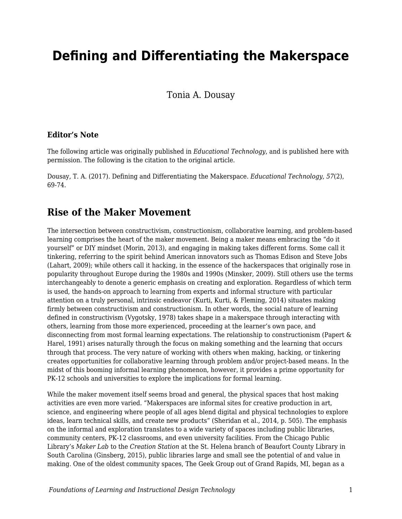# **Defining and Differentiating the Makerspace**

Tonia A. Dousay

#### **Editor's Note**

The following article was originally published in *Educational Technology*, and is published here with permission. The following is the citation to the original article.

Dousay, T. A. (2017). Defining and Differentiating the Makerspace. *Educational Technology*, *57*(2), 69-74.

#### **Rise of the Maker Movement**

The intersection between constructivism, constructionism, collaborative learning, and problem-based learning comprises the heart of the maker movement. Being a maker means embracing the "do it yourself" or DIY mindset (Morin, 2013), and engaging in making takes different forms. Some call it tinkering, referring to the spirit behind American innovators such as Thomas Edison and Steve Jobs (Lahart, 2009); while others call it hacking, in the essence of the hackerspaces that originally rose in popularity throughout Europe during the 1980s and 1990s (Minsker, 2009). Still others use the terms interchangeably to denote a generic emphasis on creating and exploration. Regardless of which term is used, the hands-on approach to learning from experts and informal structure with particular attention on a truly personal, intrinsic endeavor (Kurti, Kurti, & Fleming, 2014) situates making firmly between constructivism and constructionism. In other words, the social nature of learning defined in constructivism (Vygotsky, 1978) takes shape in a makerspace through interacting with others, learning from those more experienced, proceeding at the learner's own pace, and disconnecting from most formal learning expectations. The relationship to constructionism (Papert & Harel, 1991) arises naturally through the focus on making something and the learning that occurs through that process. The very nature of working with others when making, hacking, or tinkering creates opportunities for collaborative learning through problem and/or project-based means. In the midst of this booming informal learning phenomenon, however, it provides a prime opportunity for PK-12 schools and universities to explore the implications for formal learning.

While the maker movement itself seems broad and general, the physical spaces that host making activities are even more varied. "Makerspaces are informal sites for creative production in art, science, and engineering where people of all ages blend digital and physical technologies to explore ideas, learn technical skills, and create new products" (Sheridan et al., 2014, p. 505). The emphasis on the informal and exploration translates to a wide variety of spaces including public libraries, community centers, PK-12 classrooms, and even university facilities. From the Chicago Public Library's *Maker Lab* to the *Creation Station* at the St. Helena branch of Beaufort County Library in South Carolina (Ginsberg, 2015), public libraries large and small see the potential of and value in making. One of the oldest community spaces, The Geek Group out of Grand Rapids, MI, began as a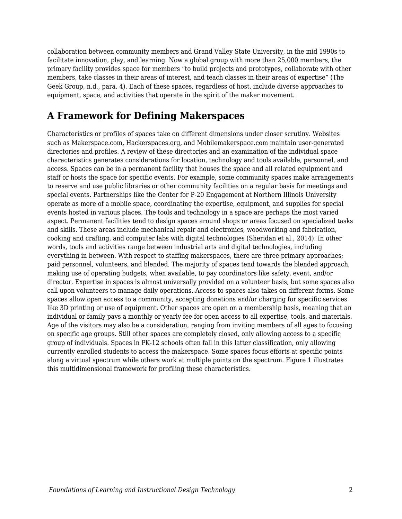collaboration between community members and Grand Valley State University, in the mid 1990s to facilitate innovation, play, and learning. Now a global group with more than 25,000 members, the primary facility provides space for members "to build projects and prototypes, collaborate with other members, take classes in their areas of interest, and teach classes in their areas of expertise" (The Geek Group, n.d., para. 4). Each of these spaces, regardless of host, include diverse approaches to equipment, space, and activities that operate in the spirit of the maker movement.

## **A Framework for Defining Makerspaces**

Characteristics or profiles of spaces take on different dimensions under closer scrutiny. Websites such as Makerspace.com, Hackerspaces.org, and Mobilemakerspace.com maintain user-generated directories and profiles. A review of these directories and an examination of the individual space characteristics generates considerations for location, technology and tools available, personnel, and access. Spaces can be in a permanent facility that houses the space and all related equipment and staff or hosts the space for specific events. For example, some community spaces make arrangements to reserve and use public libraries or other community facilities on a regular basis for meetings and special events. Partnerships like the Center for P-20 Engagement at Northern Illinois University operate as more of a mobile space, coordinating the expertise, equipment, and supplies for special events hosted in various places. The tools and technology in a space are perhaps the most varied aspect. Permanent facilities tend to design spaces around shops or areas focused on specialized tasks and skills. These areas include mechanical repair and electronics, woodworking and fabrication, cooking and crafting, and computer labs with digital technologies (Sheridan et al., 2014). In other words, tools and activities range between industrial arts and digital technologies, including everything in between. With respect to staffing makerspaces, there are three primary approaches; paid personnel, volunteers, and blended. The majority of spaces tend towards the blended approach, making use of operating budgets, when available, to pay coordinators like safety, event, and/or director. Expertise in spaces is almost universally provided on a volunteer basis, but some spaces also call upon volunteers to manage daily operations. Access to spaces also takes on different forms. Some spaces allow open access to a community, accepting donations and/or charging for specific services like 3D printing or use of equipment. Other spaces are open on a membership basis, meaning that an individual or family pays a monthly or yearly fee for open access to all expertise, tools, and materials. Age of the visitors may also be a consideration, ranging from inviting members of all ages to focusing on specific age groups. Still other spaces are completely closed, only allowing access to a specific group of individuals. Spaces in PK-12 schools often fall in this latter classification, only allowing currently enrolled students to access the makerspace. Some spaces focus efforts at specific points along a virtual spectrum while others work at multiple points on the spectrum. Figure 1 illustrates this multidimensional framework for profiling these characteristics.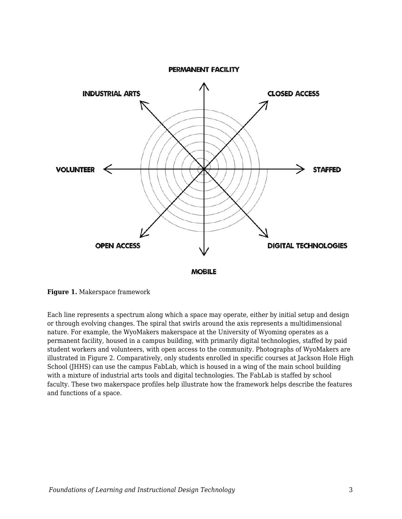

**Figure 1.** Makerspace framework

Each line represents a spectrum along which a space may operate, either by initial setup and design or through evolving changes. The spiral that swirls around the axis represents a multidimensional nature. For example, the WyoMakers makerspace at the University of Wyoming operates as a permanent facility, housed in a campus building, with primarily digital technologies, staffed by paid student workers and volunteers, with open access to the community. Photographs of WyoMakers are illustrated in Figure 2. Comparatively, only students enrolled in specific courses at Jackson Hole High School (JHHS) can use the campus FabLab, which is housed in a wing of the main school building with a mixture of industrial arts tools and digital technologies. The FabLab is staffed by school faculty. These two makerspace profiles help illustrate how the framework helps describe the features and functions of a space.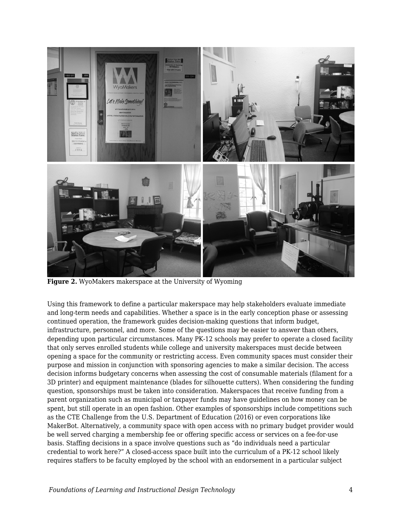

**Figure 2.** WyoMakers makerspace at the University of Wyoming

Using this framework to define a particular makerspace may help stakeholders evaluate immediate and long-term needs and capabilities. Whether a space is in the early conception phase or assessing continued operation, the framework guides decision-making questions that inform budget, infrastructure, personnel, and more. Some of the questions may be easier to answer than others, depending upon particular circumstances. Many PK-12 schools may prefer to operate a closed facility that only serves enrolled students while college and university makerspaces must decide between opening a space for the community or restricting access. Even community spaces must consider their purpose and mission in conjunction with sponsoring agencies to make a similar decision. The access decision informs budgetary concerns when assessing the cost of consumable materials (filament for a 3D printer) and equipment maintenance (blades for silhouette cutters). When considering the funding question, sponsorships must be taken into consideration. Makerspaces that receive funding from a parent organization such as municipal or taxpayer funds may have guidelines on how money can be spent, but still operate in an open fashion. Other examples of sponsorships include competitions such as the CTE Challenge from the U.S. Department of Education (2016) or even corporations like MakerBot. Alternatively, a community space with open access with no primary budget provider would be well served charging a membership fee or offering specific access or services on a fee-for-use basis. Staffing decisions in a space involve questions such as "do individuals need a particular credential to work here?" A closed-access space built into the curriculum of a PK-12 school likely requires staffers to be faculty employed by the school with an endorsement in a particular subject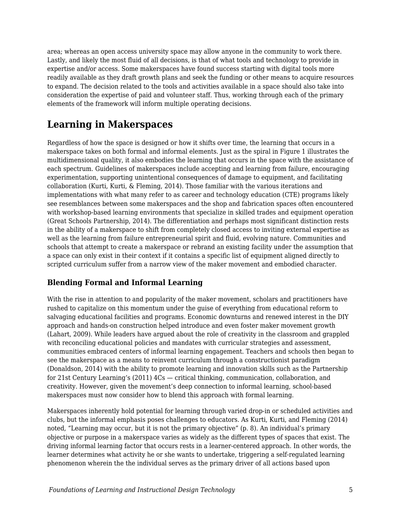area; whereas an open access university space may allow anyone in the community to work there. Lastly, and likely the most fluid of all decisions, is that of what tools and technology to provide in expertise and/or access. Some makerspaces have found success starting with digital tools more readily available as they draft growth plans and seek the funding or other means to acquire resources to expand. The decision related to the tools and activities available in a space should also take into consideration the expertise of paid and volunteer staff. Thus, working through each of the primary elements of the framework will inform multiple operating decisions.

## **Learning in Makerspaces**

Regardless of how the space is designed or how it shifts over time, the learning that occurs in a makerspace takes on both formal and informal elements. Just as the spiral in Figure 1 illustrates the multidimensional quality, it also embodies the learning that occurs in the space with the assistance of each spectrum. Guidelines of makerspaces include accepting and learning from failure, encouraging experimentation, supporting unintentional consequences of damage to equipment, and facilitating collaboration (Kurti, Kurti, & Fleming, 2014). Those familiar with the various iterations and implementations with what many refer to as career and technology education (CTE) programs likely see resemblances between some makerspaces and the shop and fabrication spaces often encountered with workshop-based learning environments that specialize in skilled trades and equipment operation (Great Schools Partnership, 2014). The differentiation and perhaps most significant distinction rests in the ability of a makerspace to shift from completely closed access to inviting external expertise as well as the learning from failure entrepreneurial spirit and fluid, evolving nature. Communities and schools that attempt to create a makerspace or rebrand an existing facility under the assumption that a space can only exist in their context if it contains a specific list of equipment aligned directly to scripted curriculum suffer from a narrow view of the maker movement and embodied character.

### **Blending Formal and Informal Learning**

With the rise in attention to and popularity of the maker movement, scholars and practitioners have rushed to capitalize on this momentum under the guise of everything from educational reform to salvaging educational facilities and programs. Economic downturns and renewed interest in the DIY approach and hands-on construction helped introduce and even foster maker movement growth (Lahart, 2009). While leaders have argued about the role of creativity in the classroom and grappled with reconciling educational policies and mandates with curricular strategies and assessment, communities embraced centers of informal learning engagement. Teachers and schools then began to see the makerspace as a means to reinvent curriculum through a constructionist paradigm (Donaldson, 2014) with the ability to promote learning and innovation skills such as the Partnership for 21st Century Learning's (2011) 4Cs — critical thinking, communication, collaboration, and creativity. However, given the movement's deep connection to informal learning, school-based makerspaces must now consider how to blend this approach with formal learning.

Makerspaces inherently hold potential for learning through varied drop-in or scheduled activities and clubs, but the informal emphasis poses challenges to educators. As Kurti, Kurti, and Fleming (2014) noted, "Learning may occur, but it is not the primary objective" (p. 8). An individual's primary objective or purpose in a makerspace varies as widely as the different types of spaces that exist. The driving informal learning factor that occurs rests in a learner-centered approach. In other words, the learner determines what activity he or she wants to undertake, triggering a self-regulated learning phenomenon wherein the the individual serves as the primary driver of all actions based upon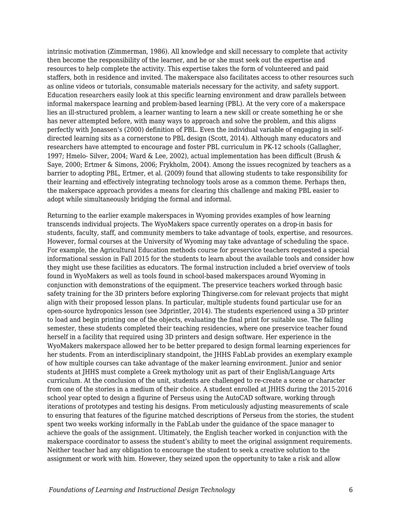intrinsic motivation (Zimmerman, 1986). All knowledge and skill necessary to complete that activity then become the responsibility of the learner, and he or she must seek out the expertise and resources to help complete the activity. This expertise takes the form of volunteered and paid staffers, both in residence and invited. The makerspace also facilitates access to other resources such as online videos or tutorials, consumable materials necessary for the activity, and safety support. Education researchers easily look at this specific learning environment and draw parallels between informal makerspace learning and problem-based learning (PBL). At the very core of a makerspace lies an ill-structured problem, a learner wanting to learn a new skill or create something he or she has never attempted before, with many ways to approach and solve the problem, and this aligns perfectly with Jonassen's (2000) definition of PBL. Even the individual variable of engaging in selfdirected learning sits as a cornerstone to PBL design (Scott, 2014). Although many educators and researchers have attempted to encourage and foster PBL curriculum in PK-12 schools (Gallagher, 1997; Hmelo- Silver, 2004; Ward & Lee, 2002), actual implementation has been difficult (Brush & Saye, 2000; Ertmer & Simons, 2006; Frykholm, 2004). Among the issues recognized by teachers as a barrier to adopting PBL, Ertmer, et al. (2009) found that allowing students to take responsibility for their learning and effectively integrating technology tools arose as a common theme. Perhaps then, the makerspace approach provides a means for clearing this challenge and making PBL easier to adopt while simultaneously bridging the formal and informal.

Returning to the earlier example makerspaces in Wyoming provides examples of how learning transcends individual projects. The WyoMakers space currently operates on a drop-in basis for students, faculty, staff, and community members to take advantage of tools, expertise, and resources. However, formal courses at the University of Wyoming may take advantage of scheduling the space. For example, the Agricultural Education methods course for preservice teachers requested a special informational session in Fall 2015 for the students to learn about the available tools and consider how they might use these facilities as educators. The formal instruction included a brief overview of tools found in WyoMakers as well as tools found in school-based makerspaces around Wyoming in conjunction with demonstrations of the equipment. The preservice teachers worked through basic safety training for the 3D printers before exploring Thingiverse.com for relevant projects that might align with their proposed lesson plans. In particular, multiple students found particular use for an open-source hydroponics lesson (see 3dprintler, 2014). The students experienced using a 3D printer to load and begin printing one of the objects, evaluating the final print for suitable use. The falling semester, these students completed their teaching residencies, where one preservice teacher found herself in a facility that required using 3D printers and design software. Her experience in the WyoMakers makerspace allowed her to be better prepared to design formal learning experiences for her students. From an interdisciplinary standpoint, the JHHS FabLab provides an exemplary example of how multiple courses can take advantage of the maker learning environment. Junior and senior students at JHHS must complete a Greek mythology unit as part of their English/Language Arts curriculum. At the conclusion of the unit, students are challenged to re-create a scene or character from one of the stories in a medium of their choice. A student enrolled at JHHS during the 2015-2016 school year opted to design a figurine of Perseus using the AutoCAD software, working through iterations of prototypes and testing his designs. From meticulously adjusting measurements of scale to ensuring that features of the figurine matched descriptions of Perseus from the stories, the student spent two weeks working informally in the FabLab under the guidance of the space manager to achieve the goals of the assignment. Ultimately, the English teacher worked in conjunction with the makerspace coordinator to assess the student's ability to meet the original assignment requirements. Neither teacher had any obligation to encourage the student to seek a creative solution to the assignment or work with him. However, they seized upon the opportunity to take a risk and allow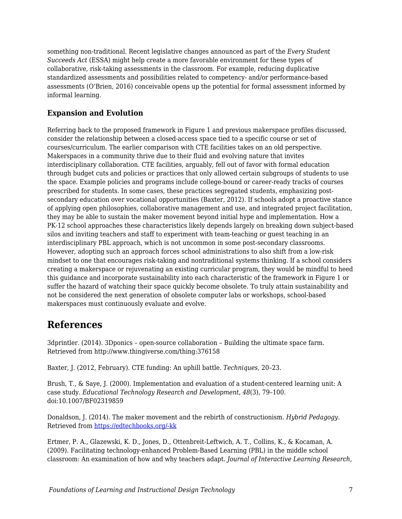something non-traditional. Recent legislative changes announced as part of the *Every Student Succeeds Act* (ESSA) might help create a more favorable environment for these types of collaborative, risk-taking assessments in the classroom. For example, reducing duplicative standardized assessments and possibilities related to competency- and/or performance-based assessments (O'Brien, 2016) conceivable opens up the potential for formal assessment informed by informal learning.

### **Expansion and Evolution**

Referring back to the proposed framework in Figure 1 and previous makerspace profiles discussed, consider the relationship between a closed-access space tied to a specific course or set of courses/curriculum. The earlier comparison with CTE facilities takes on an old perspective. Makerspaces in a community thrive due to their fluid and evolving nature that invites interdisciplinary collaboration. CTE facilities, arguably, fell out of favor with formal education through budget cuts and policies or practices that only allowed certain subgroups of students to use the space. Example policies and programs include college-bound or career-ready tracks of courses prescribed for students. In some cases, these practices segregated students, emphasizing postsecondary education over vocational opportunities (Baxter, 2012). If schools adopt a proactive stance of applying open philosophies, collaborative management and use, and integrated project facilitation, they may be able to sustain the maker movement beyond initial hype and implementation. How a PK-12 school approaches these characteristics likely depends largely on breaking down subject-based silos and inviting teachers and staff to experiment with team-teaching or guest teaching in an interdisciplinary PBL approach, which is not uncommon in some post-secondary classrooms. However, adopting such an approach forces school administrations to also shift from a low-risk mindset to one that encourages risk-taking and nontraditional systems thinking. If a school considers creating a makerspace or rejuvenating an existing curricular program, they would be mindful to heed this guidance and incorporate sustainability into each characteristic of the framework in Figure 1 or suffer the hazard of watching their space quickly become obsolete. To truly attain sustainability and not be considered the next generation of obsolete computer labs or workshops, school-based makerspaces must continuously evaluate and evolve.

### **References**

3dprintler. (2014). 3Dponics – open-source collaboration – Building the ultimate space farm. Retrieved from http://www.thingiverse.com/thing:376158

Baxter, J. (2012, February). CTE funding: An uphill battle. *Techniques*, 20–23.

Brush, T., & Saye, J. (2000). Implementation and evaluation of a student-centered learning unit: A case study. *Educational Technology Research and Development*, *48*(3), 79–100. doi:10.1007/BF02319859

Donaldson, J. (2014). The maker movement and the rebirth of constructionism. *Hybrid Pedagogy*. Retrieved from [https://edtechbooks.org/-kk](http://www.hybridpedagogy.com/journal/constructionism-reborn/)

Ertmer, P. A., Glazewski, K. D., Jones, D., Ottenbreit-Leftwich, A. T., Collins, K., & Kocaman, A. (2009). Facilitating technology-enhanced Problem-Based Learning (PBL) in the middle school classroom: An examination of how and why teachers adapt. *Journal of Interactive Learning Research*,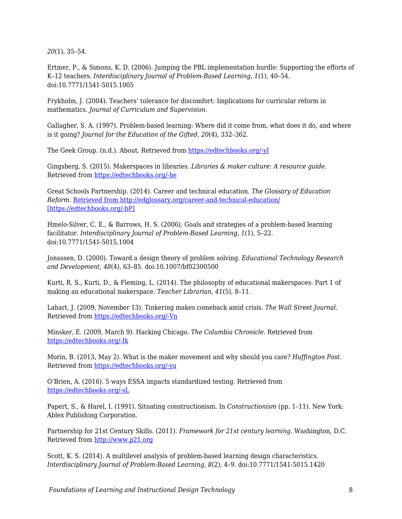*20*(1), 35–54.

Ertmer, P., & Simons, K. D. (2006). Jumping the PBL implementation hurdle: Supporting the efforts of K–12 teachers. *Interdisciplinary Journal of Problem-Based Learning*, *1*(1), 40–54. doi:10.7771/1541-5015.1005

Frykholm, J. (2004). Teachers' tolerance for discomfort: Implications for curricular reform in mathematics. *Journal of Curriculum and Supervision*.

Gallagher, S. A. (1997). Problem-based learning: Where did it come from, what does it do, and where is it going? *Journal for the Education of the Gifted*, *20*(4), 332–362.

The Geek Group. (n.d.). About. Retrieved from [https://edtechbooks.org/-yI](http://thegeekgroup.org/about-2/)

Gingsberg, S. (2015). Makerspaces in libraries. *Libraries & maker culture: A resource guide*. Retrieved from [https://edtechbooks.org/-he](http://library-maker-culture.weebly.com/makerspaces-in-libraries.html)

Great Schools Partnership. (2014). Career and technical education. *The Glossary of Education Reform*. [Retrieved from http://edglossary.org/career-and-technical-education/](http://edglossary.org/career-and-technical-education/) [\[https://edtechbooks.org/-bP\]](http://edglossary.org/career-and-technical-education/)

Hmelo-Silver, C. E., & Barrows, H. S. (2006). Goals and strategies of a problem-based learning facilitator. *Interdisciplinary Journal of Problem-Based Learning*, *1*(1), 5–22. doi:10.7771/1541-5015.1004

Jonassen, D. (2000). Toward a design theory of problem solving. *Educational Technology Research and Development*, *48*(4), 63–85. doi:10.1007/bf02300500

Kurti, R. S., Kurti, D., & Fleming, L. (2014). The philosophy of educational makerspaces: Part 1 of making an educational makerspace. *Teacher Librarian*, *41*(5), 8–11.

Lahart, J. (2009, November 13). Tinkering makes comeback amid crisis. *The Wall Street Journal*. Retrieved from [https://edtechbooks.org/-Vn](http://www.wsj.com/articles/SB125798004542744219)

Minsker, E. (2009, March 9). Hacking Chicago. *The Columbia Chronicle*. Retrieved from [https://edtechbooks.org/-Ik](http://www.columbiachronicle.com/arts_and_culture/article_725403c9-47cd-5fa7-b8fd-66ce617312dd.html)

Morin, B. (2013, May 2). What is the maker movement and why should you care? *Huffington Post*. Retrieved from [https://edtechbooks.org/-yu](http://www.huffingtonpost.com/brit-morin/what-is-the-maker-movemen_b_3201977.html)

O'Brien, A. (2016). 5 ways ESSA impacts standardized testing. Retrieved from [https://edtechbooks.org/-sL](http://www.edutopia.org/blog/5-ways-essa-impacts-standardized-testing-anne-obrien)

Papert, S., & Harel, I. (1991). Situating constructionism. In *Constructionism* (pp. 1–11). New York: Ablex Publishing Corporation.

Partnership for 21st Century Skills. (2011). *Framework for 21st century learning*. Washington, D.C. Retrieved from [http://www.p21.org](http://www.p21.org/)

Scott, K. S. (2014). A multilevel analysis of problem-based learning design characteristics. *Interdisciplinary Journal of Problem-Based Learning*, *8*(2), 4–9. doi:10.7771/1541-5015.1420